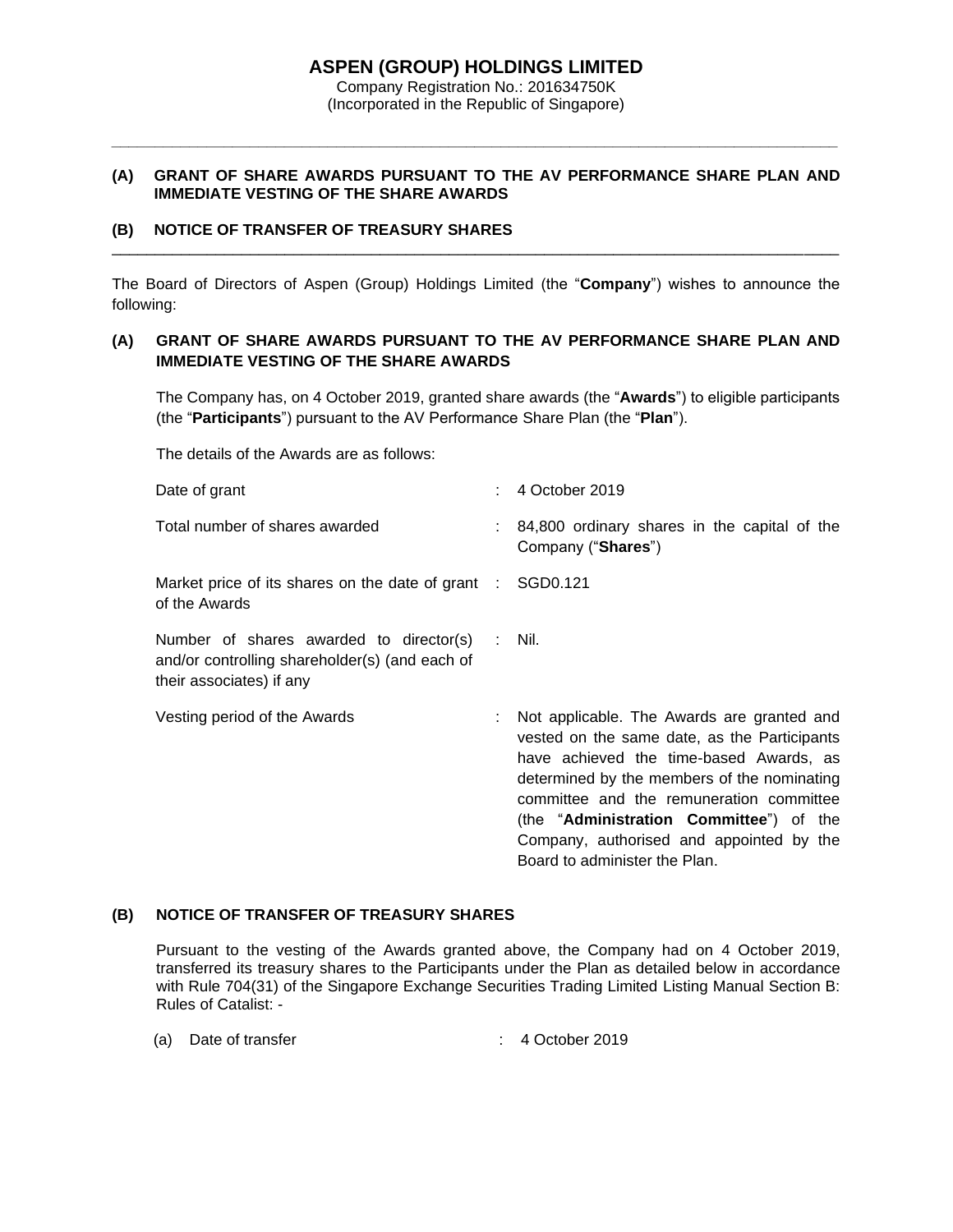# **ASPEN (GROUP) HOLDINGS LIMITED**

Company Registration No.: 201634750K (Incorporated in the Republic of Singapore)

*\_\_\_\_\_\_\_\_\_\_\_\_\_\_\_\_\_\_\_\_\_\_\_\_\_\_\_\_\_\_\_\_\_\_\_\_\_\_\_\_\_\_\_\_\_\_\_\_\_\_\_\_\_\_\_\_\_\_\_\_\_\_\_\_\_\_\_\_\_\_\_\_\_\_\_\_\_\_\_\_\_\_\_\_*

### **(A) GRANT OF SHARE AWARDS PURSUANT TO THE AV PERFORMANCE SHARE PLAN AND IMMEDIATE VESTING OF THE SHARE AWARDS**

## **(B) NOTICE OF TRANSFER OF TREASURY SHARES**

The Board of Directors of Aspen (Group) Holdings Limited (the "**Company**") wishes to announce the following:

\_\_\_\_\_\_\_\_\_\_\_\_\_\_\_\_\_\_\_\_\_\_\_\_\_\_\_\_\_\_\_\_\_\_\_\_\_\_\_\_\_\_\_\_\_\_\_\_\_\_\_\_\_\_\_\_\_\_\_\_\_\_\_\_\_\_\_\_\_\_\_\_\_\_\_\_\_\_\_\_\_\_\_\_

## **(A) GRANT OF SHARE AWARDS PURSUANT TO THE AV PERFORMANCE SHARE PLAN AND IMMEDIATE VESTING OF THE SHARE AWARDS**

The Company has, on 4 October 2019, granted share awards (the "**Awards**") to eligible participants (the "**Participants**") pursuant to the AV Performance Share Plan (the "**Plan**").

The details of the Awards are as follows:

| Date of grant                                                                                                                | $: 4$ October 2019                                                                                                                                                                                                                                                                                                                                       |
|------------------------------------------------------------------------------------------------------------------------------|----------------------------------------------------------------------------------------------------------------------------------------------------------------------------------------------------------------------------------------------------------------------------------------------------------------------------------------------------------|
| Total number of shares awarded                                                                                               | : 84,800 ordinary shares in the capital of the<br>Company ("Shares")                                                                                                                                                                                                                                                                                     |
| Market price of its shares on the date of grant $\therefore$ SGD0.121<br>of the Awards                                       |                                                                                                                                                                                                                                                                                                                                                          |
| Number of shares awarded to director(s) : Nil.<br>and/or controlling shareholder(s) (and each of<br>their associates) if any |                                                                                                                                                                                                                                                                                                                                                          |
| Vesting period of the Awards                                                                                                 | Not applicable. The Awards are granted and<br>vested on the same date, as the Participants<br>have achieved the time-based Awards, as<br>determined by the members of the nominating<br>committee and the remuneration committee<br>(the "Administration Committee") of the<br>Company, authorised and appointed by the<br>Board to administer the Plan. |

#### **(B) NOTICE OF TRANSFER OF TREASURY SHARES**

Pursuant to the vesting of the Awards granted above, the Company had on 4 October 2019, transferred its treasury shares to the Participants under the Plan as detailed below in accordance with Rule 704(31) of the Singapore Exchange Securities Trading Limited Listing Manual Section B: Rules of Catalist: -

(a) Date of transfer : 4 October 2019